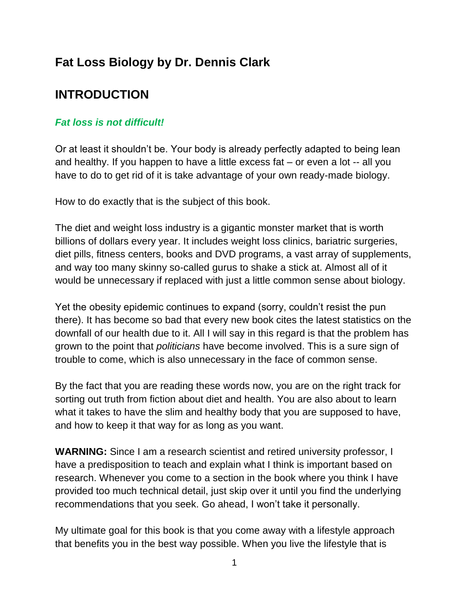# **Fat Loss Biology by Dr. Dennis Clark**

# **INTRODUCTION**

### *Fat loss is not difficult!*

Or at least it shouldn't be. Your body is already perfectly adapted to being lean and healthy. If you happen to have a little excess fat – or even a lot -- all you have to do to get rid of it is take advantage of your own ready-made biology.

How to do exactly that is the subject of this book.

The diet and weight loss industry is a gigantic monster market that is worth billions of dollars every year. It includes weight loss clinics, bariatric surgeries, diet pills, fitness centers, books and DVD programs, a vast array of supplements, and way too many skinny so-called gurus to shake a stick at. Almost all of it would be unnecessary if replaced with just a little common sense about biology.

Yet the obesity epidemic continues to expand (sorry, couldn't resist the pun there). It has become so bad that every new book cites the latest statistics on the downfall of our health due to it. All I will say in this regard is that the problem has grown to the point that *politicians* have become involved. This is a sure sign of trouble to come, which is also unnecessary in the face of common sense.

By the fact that you are reading these words now, you are on the right track for sorting out truth from fiction about diet and health. You are also about to learn what it takes to have the slim and healthy body that you are supposed to have, and how to keep it that way for as long as you want.

**WARNING:** Since I am a research scientist and retired university professor, I have a predisposition to teach and explain what I think is important based on research. Whenever you come to a section in the book where you think I have provided too much technical detail, just skip over it until you find the underlying recommendations that you seek. Go ahead, I won't take it personally.

My ultimate goal for this book is that you come away with a lifestyle approach that benefits you in the best way possible. When you live the lifestyle that is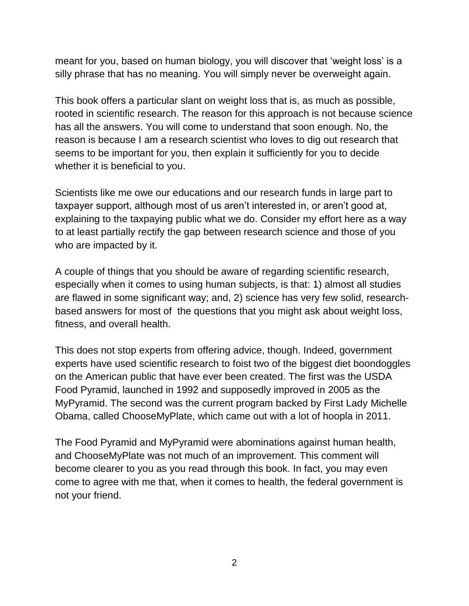meant for you, based on human biology, you will discover that 'weight loss' is a silly phrase that has no meaning. You will simply never be overweight again.

This book offers a particular slant on weight loss that is, as much as possible, rooted in scientific research. The reason for this approach is not because science has all the answers. You will come to understand that soon enough. No, the reason is because I am a research scientist who loves to dig out research that seems to be important for you, then explain it sufficiently for you to decide whether it is beneficial to you.

Scientists like me owe our educations and our research funds in large part to taxpayer support, although most of us aren't interested in, or aren't good at, explaining to the taxpaying public what we do. Consider my effort here as a way to at least partially rectify the gap between research science and those of you who are impacted by it.

A couple of things that you should be aware of regarding scientific research, especially when it comes to using human subjects, is that: 1) almost all studies are flawed in some significant way; and, 2) science has very few solid, researchbased answers for most of the questions that you might ask about weight loss, fitness, and overall health.

This does not stop experts from offering advice, though. Indeed, government experts have used scientific research to foist two of the biggest diet boondoggles on the American public that have ever been created. The first was the USDA Food Pyramid, launched in 1992 and supposedly improved in 2005 as the MyPyramid. The second was the current program backed by First Lady Michelle Obama, called ChooseMyPlate, which came out with a lot of hoopla in 2011.

The Food Pyramid and MyPyramid were abominations against human health, and ChooseMyPlate was not much of an improvement. This comment will become clearer to you as you read through this book. In fact, you may even come to agree with me that, when it comes to health, the federal government is not your friend.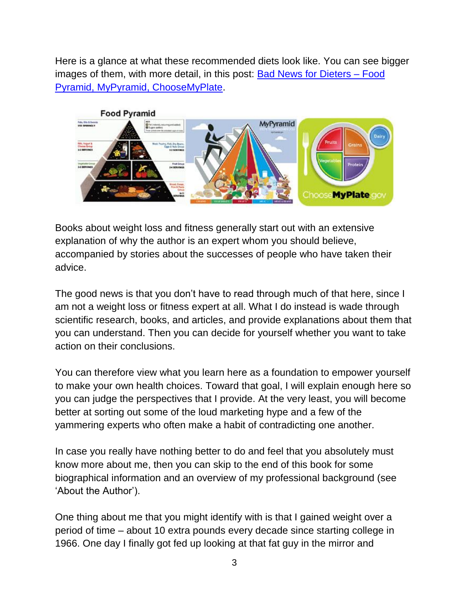Here is a glance at what these recommended diets look like. You can see bigger images of them, with more detail, in this post: [Bad News for Dieters –](http://bellyfatscience.com/bad-news-for-dieters-food-pyramid-mypyramid-choosemyplate) Food [Pyramid, MyPyramid, ChooseMyPlate.](http://bellyfatscience.com/bad-news-for-dieters-food-pyramid-mypyramid-choosemyplate)



Books about weight loss and fitness generally start out with an extensive explanation of why the author is an expert whom you should believe, accompanied by stories about the successes of people who have taken their advice.

The good news is that you don't have to read through much of that here, since I am not a weight loss or fitness expert at all. What I do instead is wade through scientific research, books, and articles, and provide explanations about them that you can understand. Then you can decide for yourself whether you want to take action on their conclusions.

You can therefore view what you learn here as a foundation to empower yourself to make your own health choices. Toward that goal, I will explain enough here so you can judge the perspectives that I provide. At the very least, you will become better at sorting out some of the loud marketing hype and a few of the yammering experts who often make a habit of contradicting one another.

In case you really have nothing better to do and feel that you absolutely must know more about me, then you can skip to the end of this book for some biographical information and an overview of my professional background (see 'About the Author').

One thing about me that you might identify with is that I gained weight over a period of time – about 10 extra pounds every decade since starting college in 1966. One day I finally got fed up looking at that fat guy in the mirror and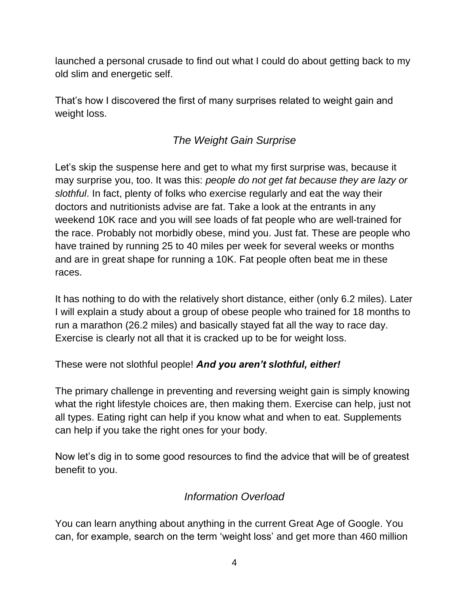launched a personal crusade to find out what I could do about getting back to my old slim and energetic self.

That's how I discovered the first of many surprises related to weight gain and weight loss.

# *The Weight Gain Surprise*

Let's skip the suspense here and get to what my first surprise was, because it may surprise you, too. It was this: *people do not get fat because they are lazy or slothful*. In fact, plenty of folks who exercise regularly and eat the way their doctors and nutritionists advise are fat. Take a look at the entrants in any weekend 10K race and you will see loads of fat people who are well-trained for the race. Probably not morbidly obese, mind you. Just fat. These are people who have trained by running 25 to 40 miles per week for several weeks or months and are in great shape for running a 10K. Fat people often beat me in these races.

It has nothing to do with the relatively short distance, either (only 6.2 miles). Later I will explain a study about a group of obese people who trained for 18 months to run a marathon (26.2 miles) and basically stayed fat all the way to race day. Exercise is clearly not all that it is cracked up to be for weight loss.

These were not slothful people! *And you aren't slothful, either!*

The primary challenge in preventing and reversing weight gain is simply knowing what the right lifestyle choices are, then making them. Exercise can help, just not all types. Eating right can help if you know what and when to eat. Supplements can help if you take the right ones for your body.

Now let's dig in to some good resources to find the advice that will be of greatest benefit to you.

# *Information Overload*

You can learn anything about anything in the current Great Age of Google. You can, for example, search on the term 'weight loss' and get more than 460 million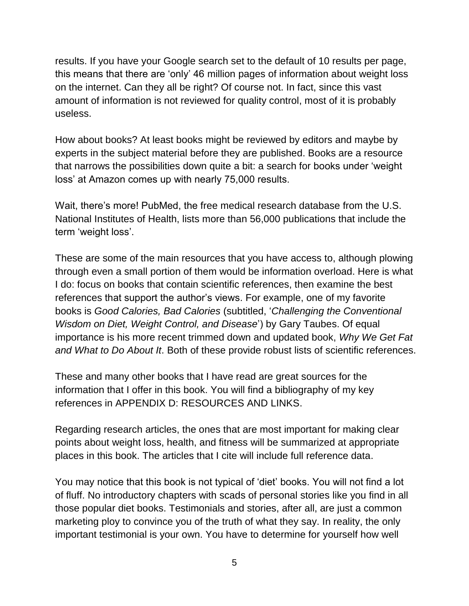results. If you have your Google search set to the default of 10 results per page, this means that there are 'only' 46 million pages of information about weight loss on the internet. Can they all be right? Of course not. In fact, since this vast amount of information is not reviewed for quality control, most of it is probably useless.

How about books? At least books might be reviewed by editors and maybe by experts in the subject material before they are published. Books are a resource that narrows the possibilities down quite a bit: a search for books under 'weight loss' at Amazon comes up with nearly 75,000 results.

Wait, there's more! PubMed, the free medical research database from the U.S. National Institutes of Health, lists more than 56,000 publications that include the term 'weight loss'.

These are some of the main resources that you have access to, although plowing through even a small portion of them would be information overload. Here is what I do: focus on books that contain scientific references, then examine the best references that support the author's views. For example, one of my favorite books is *Good Calories, Bad Calories* (subtitled, '*Challenging the Conventional Wisdom on Diet, Weight Control, and Disease*') by Gary Taubes. Of equal importance is his more recent trimmed down and updated book, *Why We Get Fat and What to Do About It*. Both of these provide robust lists of scientific references.

These and many other books that I have read are great sources for the information that I offer in this book. You will find a bibliography of my key references in APPENDIX D: RESOURCES AND LINKS.

Regarding research articles, the ones that are most important for making clear points about weight loss, health, and fitness will be summarized at appropriate places in this book. The articles that I cite will include full reference data.

You may notice that this book is not typical of 'diet' books. You will not find a lot of fluff. No introductory chapters with scads of personal stories like you find in all those popular diet books. Testimonials and stories, after all, are just a common marketing ploy to convince you of the truth of what they say. In reality, the only important testimonial is your own. You have to determine for yourself how well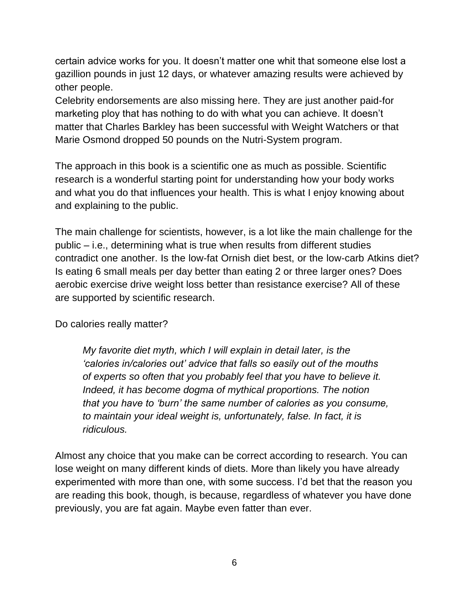certain advice works for you. It doesn't matter one whit that someone else lost a gazillion pounds in just 12 days, or whatever amazing results were achieved by other people.

Celebrity endorsements are also missing here. They are just another paid-for marketing ploy that has nothing to do with what you can achieve. It doesn't matter that Charles Barkley has been successful with Weight Watchers or that Marie Osmond dropped 50 pounds on the Nutri-System program.

The approach in this book is a scientific one as much as possible. Scientific research is a wonderful starting point for understanding how your body works and what you do that influences your health. This is what I enjoy knowing about and explaining to the public.

The main challenge for scientists, however, is a lot like the main challenge for the public – i.e., determining what is true when results from different studies contradict one another. Is the low-fat Ornish diet best, or the low-carb Atkins diet? Is eating 6 small meals per day better than eating 2 or three larger ones? Does aerobic exercise drive weight loss better than resistance exercise? All of these are supported by scientific research.

Do calories really matter?

*My favorite diet myth, which I will explain in detail later, is the 'calories in/calories out' advice that falls so easily out of the mouths of experts so often that you probably feel that you have to believe it. Indeed, it has become dogma of mythical proportions. The notion that you have to 'burn' the same number of calories as you consume, to maintain your ideal weight is, unfortunately, false. In fact, it is ridiculous.*

Almost any choice that you make can be correct according to research. You can lose weight on many different kinds of diets. More than likely you have already experimented with more than one, with some success. I'd bet that the reason you are reading this book, though, is because, regardless of whatever you have done previously, you are fat again. Maybe even fatter than ever.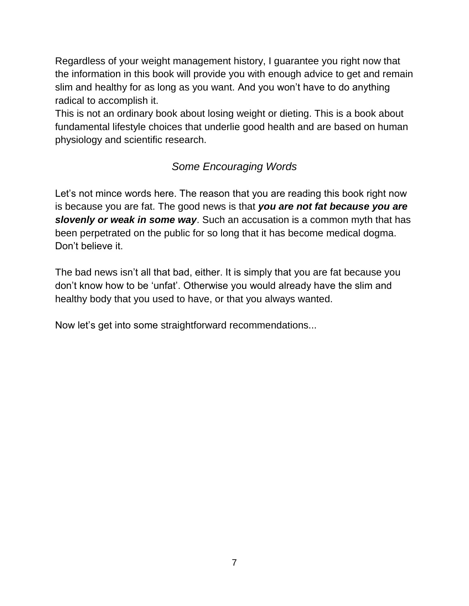Regardless of your weight management history, I guarantee you right now that the information in this book will provide you with enough advice to get and remain slim and healthy for as long as you want. And you won't have to do anything radical to accomplish it.

This is not an ordinary book about losing weight or dieting. This is a book about fundamental lifestyle choices that underlie good health and are based on human physiology and scientific research.

# *Some Encouraging Words*

Let's not mince words here. The reason that you are reading this book right now is because you are fat. The good news is that *you are not fat because you are slovenly or weak in some way*. Such an accusation is a common myth that has been perpetrated on the public for so long that it has become medical dogma. Don't believe it.

The bad news isn't all that bad, either. It is simply that you are fat because you don't know how to be 'unfat'. Otherwise you would already have the slim and healthy body that you used to have, or that you always wanted.

Now let's get into some straightforward recommendations...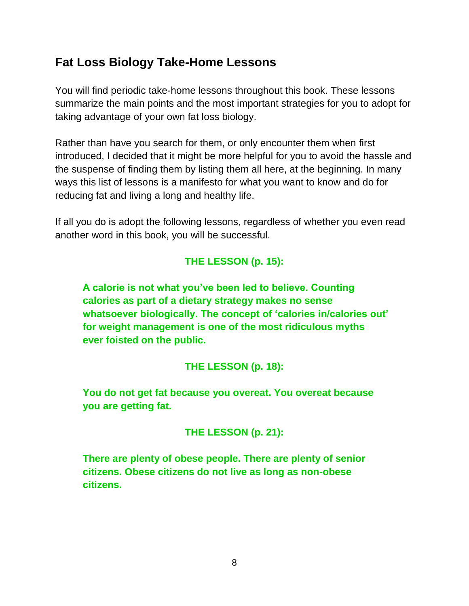# **Fat Loss Biology Take-Home Lessons**

You will find periodic take-home lessons throughout this book. These lessons summarize the main points and the most important strategies for you to adopt for taking advantage of your own fat loss biology.

Rather than have you search for them, or only encounter them when first introduced, I decided that it might be more helpful for you to avoid the hassle and the suspense of finding them by listing them all here, at the beginning. In many ways this list of lessons is a manifesto for what you want to know and do for reducing fat and living a long and healthy life.

If all you do is adopt the following lessons, regardless of whether you even read another word in this book, you will be successful.

# **THE LESSON (p. 15):**

**A calorie is not what you've been led to believe. Counting calories as part of a dietary strategy makes no sense whatsoever biologically. The concept of 'calories in/calories out' for weight management is one of the most ridiculous myths ever foisted on the public.** 

# **THE LESSON (p. 18):**

**You do not get fat because you overeat. You overeat because you are getting fat.**

# **THE LESSON (p. 21):**

**There are plenty of obese people. There are plenty of senior citizens. Obese citizens do not live as long as non-obese citizens.**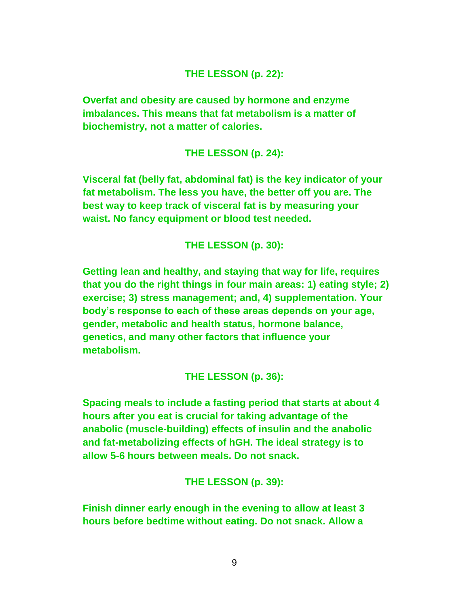#### **THE LESSON (p. 22):**

**Overfat and obesity are caused by hormone and enzyme imbalances. This means that fat metabolism is a matter of biochemistry, not a matter of calories.**

#### **THE LESSON (p. 24):**

**Visceral fat (belly fat, abdominal fat) is the key indicator of your fat metabolism. The less you have, the better off you are. The best way to keep track of visceral fat is by measuring your waist. No fancy equipment or blood test needed.**

#### **THE LESSON (p. 30):**

**Getting lean and healthy, and staying that way for life, requires that you do the right things in four main areas: 1) eating style; 2) exercise; 3) stress management; and, 4) supplementation. Your body's response to each of these areas depends on your age, gender, metabolic and health status, hormone balance, genetics, and many other factors that influence your metabolism.**

#### **THE LESSON (p. 36):**

**Spacing meals to include a fasting period that starts at about 4 hours after you eat is crucial for taking advantage of the anabolic (muscle-building) effects of insulin and the anabolic and fat-metabolizing effects of hGH. The ideal strategy is to allow 5-6 hours between meals. Do not snack.**

**THE LESSON (p. 39):**

**Finish dinner early enough in the evening to allow at least 3 hours before bedtime without eating. Do not snack. Allow a**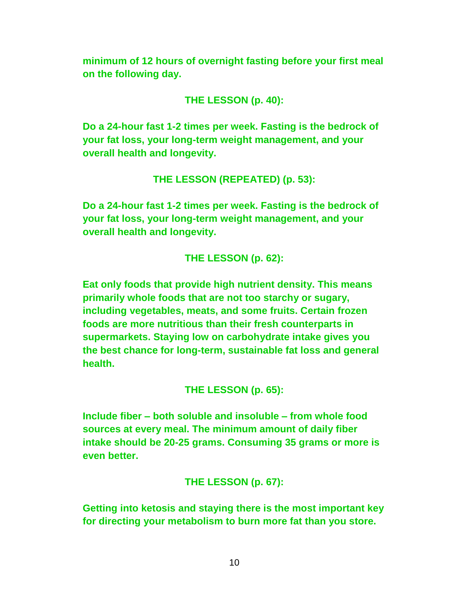**minimum of 12 hours of overnight fasting before your first meal on the following day.**

### **THE LESSON (p. 40):**

**Do a 24-hour fast 1-2 times per week. Fasting is the bedrock of your fat loss, your long-term weight management, and your overall health and longevity.**

**THE LESSON (REPEATED) (p. 53):**

**Do a 24-hour fast 1-2 times per week. Fasting is the bedrock of your fat loss, your long-term weight management, and your overall health and longevity.**

**THE LESSON (p. 62):**

**Eat only foods that provide high nutrient density. This means primarily whole foods that are not too starchy or sugary, including vegetables, meats, and some fruits. Certain frozen foods are more nutritious than their fresh counterparts in supermarkets. Staying low on carbohydrate intake gives you the best chance for long-term, sustainable fat loss and general health.**

**THE LESSON (p. 65):**

**Include fiber – both soluble and insoluble – from whole food sources at every meal. The minimum amount of daily fiber intake should be 20-25 grams. Consuming 35 grams or more is even better.**

**THE LESSON (p. 67):**

**Getting into ketosis and staying there is the most important key for directing your metabolism to burn more fat than you store.**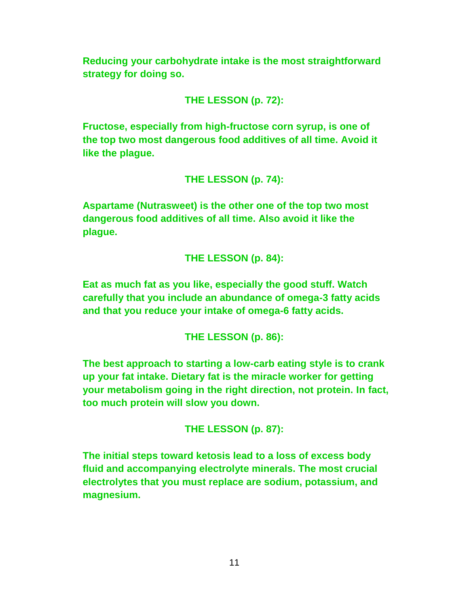**Reducing your carbohydrate intake is the most straightforward strategy for doing so.**

**THE LESSON (p. 72):**

**Fructose, especially from high-fructose corn syrup, is one of the top two most dangerous food additives of all time. Avoid it like the plague.**

**THE LESSON (p. 74):**

**Aspartame (Nutrasweet) is the other one of the top two most dangerous food additives of all time. Also avoid it like the plague.**

**THE LESSON (p. 84):**

**Eat as much fat as you like, especially the good stuff. Watch carefully that you include an abundance of omega-3 fatty acids and that you reduce your intake of omega-6 fatty acids.**

**THE LESSON (p. 86):**

**The best approach to starting a low-carb eating style is to crank up your fat intake. Dietary fat is the miracle worker for getting your metabolism going in the right direction, not protein. In fact, too much protein will slow you down.**

**THE LESSON (p. 87):**

**The initial steps toward ketosis lead to a loss of excess body fluid and accompanying electrolyte minerals. The most crucial electrolytes that you must replace are sodium, potassium, and magnesium.**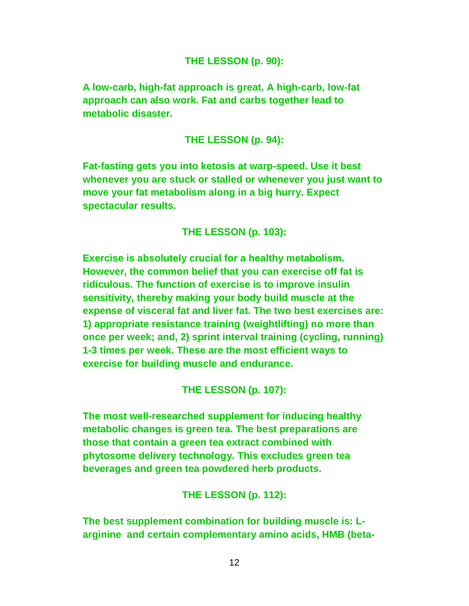#### **THE LESSON (p. 90):**

**A low-carb, high-fat approach is great. A high-carb, low-fat approach can also work. Fat and carbs together lead to metabolic disaster.**

#### **THE LESSON (p. 94):**

**Fat-fasting gets you into ketosis at warp-speed. Use it best whenever you are stuck or stalled or whenever you just want to move your fat metabolism along in a big hurry. Expect spectacular results.**

#### **THE LESSON (p. 103):**

**Exercise is absolutely crucial for a healthy metabolism. However, the common belief that you can exercise off fat is ridiculous. The function of exercise is to improve insulin sensitivity, thereby making your body build muscle at the expense of visceral fat and liver fat. The two best exercises are: 1) appropriate resistance training (weightlifting) no more than once per week; and, 2) sprint interval training (cycling, running) 1-3 times per week. These are the most efficient ways to exercise for building muscle and endurance.**

#### **THE LESSON (p. 107):**

**The most well-researched supplement for inducing healthy metabolic changes is green tea. The best preparations are those that contain a green tea extract combined with phytosome delivery technology. This excludes green tea beverages and green tea powdered herb products.**

#### **THE LESSON (p. 112):**

**The best supplement combination for building muscle is: Larginine and certain complementary amino acids, HMB (beta-**